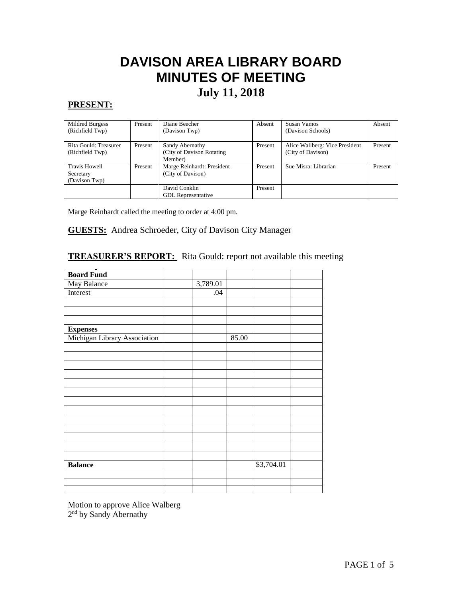# **DAVISON AREA LIBRARY BOARD MINUTES OF MEETING July 11, 2018**

# **PRESENT:**

 $\overline{\phantom{a}}$ 

| Mildred Burgess       | Present | Diane Beecher              | Absent  | Susan Vamos                    | Absent  |
|-----------------------|---------|----------------------------|---------|--------------------------------|---------|
| (Richfield Twp)       |         | (Davison Twp)              |         | (Davison Schools)              |         |
| Rita Gould: Treasurer | Present | Sandy Abernathy            | Present | Alice Wallberg: Vice President | Present |
| (Richfield Twp)       |         | (City of Davison Rotating) |         | (City of Davison)              |         |
|                       |         | Member)                    |         |                                |         |
| <b>Travis Howell</b>  | Present | Marge Reinhardt: President | Present | Sue Misra: Librarian           | Present |
| Secretary             |         | (City of Davison)          |         |                                |         |
| (Davison Twp)         |         |                            |         |                                |         |
|                       |         | David Conklin              | Present |                                |         |
|                       |         | <b>GDL</b> Representative  |         |                                |         |

Marge Reinhardt called the meeting to order at 4:00 pm.

## **GUESTS:** Andrea Schroeder, City of Davison City Manager

# **TREASURER'S REPORT:** Rita Gould: report not available this meeting

| <b>Board Fund</b>            |          |       |            |  |
|------------------------------|----------|-------|------------|--|
| May Balance                  | 3,789.01 |       |            |  |
| Interest                     | .04      |       |            |  |
|                              |          |       |            |  |
|                              |          |       |            |  |
|                              |          |       |            |  |
| <b>Expenses</b>              |          |       |            |  |
| Michigan Library Association |          | 85.00 |            |  |
|                              |          |       |            |  |
|                              |          |       |            |  |
|                              |          |       |            |  |
|                              |          |       |            |  |
|                              |          |       |            |  |
|                              |          |       |            |  |
|                              |          |       |            |  |
|                              |          |       |            |  |
|                              |          |       |            |  |
|                              |          |       |            |  |
|                              |          |       |            |  |
|                              |          |       |            |  |
|                              |          |       |            |  |
| <b>Balance</b>               |          |       | \$3,704.01 |  |
|                              |          |       |            |  |
|                              |          |       |            |  |
|                              |          |       |            |  |

Motion to approve Alice Walberg 2<sup>nd</sup> by Sandy Abernathy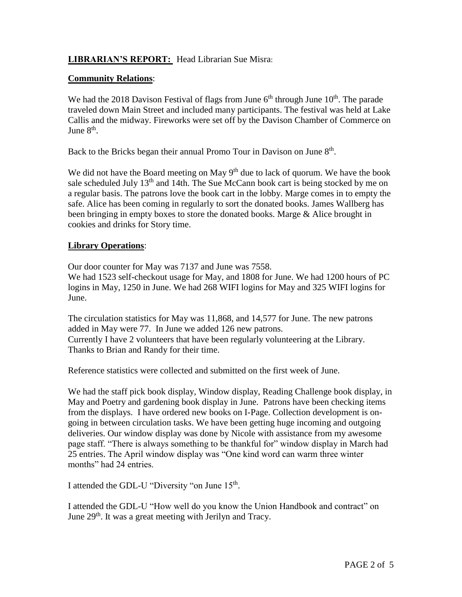# **LIBRARIAN'S REPORT:** Head Librarian Sue Misra:

# **Community Relations**:

We had the 2018 Davison Festival of flags from June  $6<sup>th</sup>$  through June  $10<sup>th</sup>$ . The parade traveled down Main Street and included many participants. The festival was held at Lake Callis and the midway. Fireworks were set off by the Davison Chamber of Commerce on June 8<sup>th</sup>.

Back to the Bricks began their annual Promo Tour in Davison on June 8<sup>th</sup>.

We did not have the Board meeting on May  $9<sup>th</sup>$  due to lack of quorum. We have the book sale scheduled July  $13<sup>th</sup>$  and 14th. The Sue McCann book cart is being stocked by me on a regular basis. The patrons love the book cart in the lobby. Marge comes in to empty the safe. Alice has been coming in regularly to sort the donated books. James Wallberg has been bringing in empty boxes to store the donated books. Marge & Alice brought in cookies and drinks for Story time.

# **Library Operations**:

Our door counter for May was 7137 and June was 7558.

We had 1523 self-checkout usage for May, and 1808 for June. We had 1200 hours of PC logins in May, 1250 in June. We had 268 WIFI logins for May and 325 WIFI logins for June.

The circulation statistics for May was 11,868, and 14,577 for June. The new patrons added in May were 77. In June we added 126 new patrons. Currently I have 2 volunteers that have been regularly volunteering at the Library. Thanks to Brian and Randy for their time.

Reference statistics were collected and submitted on the first week of June.

We had the staff pick book display, Window display, Reading Challenge book display, in May and Poetry and gardening book display in June. Patrons have been checking items from the displays. I have ordered new books on I-Page. Collection development is ongoing in between circulation tasks. We have been getting huge incoming and outgoing deliveries. Our window display was done by Nicole with assistance from my awesome page staff. "There is always something to be thankful for" window display in March had 25 entries. The April window display was "One kind word can warm three winter months" had 24 entries.

I attended the GDL-U "Diversity "on June 15<sup>th</sup>.

I attended the GDL-U "How well do you know the Union Handbook and contract" on June 29<sup>th</sup>. It was a great meeting with Jerilyn and Tracy.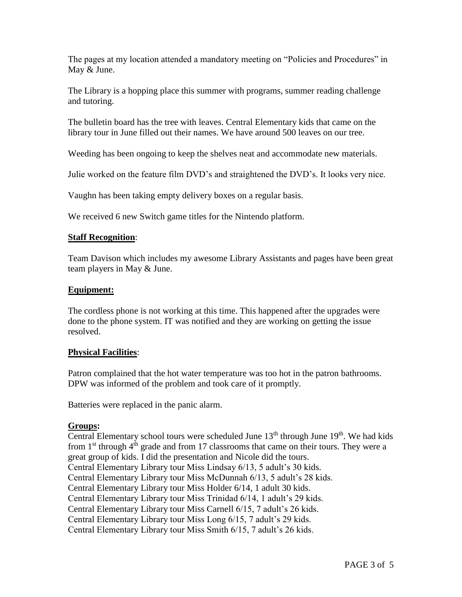The pages at my location attended a mandatory meeting on "Policies and Procedures" in May & June.

The Library is a hopping place this summer with programs, summer reading challenge and tutoring.

The bulletin board has the tree with leaves. Central Elementary kids that came on the library tour in June filled out their names. We have around 500 leaves on our tree.

Weeding has been ongoing to keep the shelves neat and accommodate new materials.

Julie worked on the feature film DVD's and straightened the DVD's. It looks very nice.

Vaughn has been taking empty delivery boxes on a regular basis.

We received 6 new Switch game titles for the Nintendo platform.

# **Staff Recognition**:

Team Davison which includes my awesome Library Assistants and pages have been great team players in May & June.

# **Equipment:**

The cordless phone is not working at this time. This happened after the upgrades were done to the phone system. IT was notified and they are working on getting the issue resolved.

# **Physical Facilities**:

Patron complained that the hot water temperature was too hot in the patron bathrooms. DPW was informed of the problem and took care of it promptly.

Batteries were replaced in the panic alarm.

# **Groups:**

Central Elementary school tours were scheduled June  $13<sup>th</sup>$  through June  $19<sup>th</sup>$ . We had kids from  $1<sup>st</sup>$  through  $4<sup>th</sup>$  grade and from 17 classrooms that came on their tours. They were a great group of kids. I did the presentation and Nicole did the tours. Central Elementary Library tour Miss Lindsay 6/13, 5 adult's 30 kids. Central Elementary Library tour Miss McDunnah 6/13, 5 adult's 28 kids. Central Elementary Library tour Miss Holder 6/14, 1 adult 30 kids. Central Elementary Library tour Miss Trinidad 6/14, 1 adult's 29 kids. Central Elementary Library tour Miss Carnell 6/15, 7 adult's 26 kids. Central Elementary Library tour Miss Long 6/15, 7 adult's 29 kids. Central Elementary Library tour Miss Smith 6/15, 7 adult's 26 kids.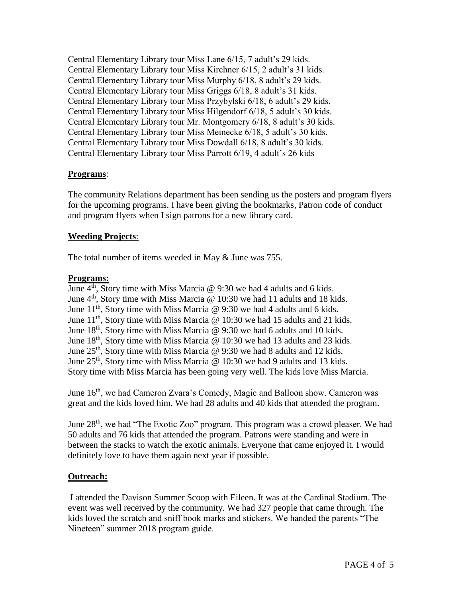Central Elementary Library tour Miss Lane 6/15, 7 adult's 29 kids. Central Elementary Library tour Miss Kirchner 6/15, 2 adult's 31 kids. Central Elementary Library tour Miss Murphy 6/18, 8 adult's 29 kids. Central Elementary Library tour Miss Griggs 6/18, 8 adult's 31 kids. Central Elementary Library tour Miss Przybylski 6/18, 6 adult's 29 kids. Central Elementary Library tour Miss Hilgendorf 6/18, 5 adult's 30 kids. Central Elementary Library tour Mr. Montgomery 6/18, 8 adult's 30 kids. Central Elementary Library tour Miss Meinecke 6/18, 5 adult's 30 kids. Central Elementary Library tour Miss Dowdall 6/18, 8 adult's 30 kids. Central Elementary Library tour Miss Parrott 6/19, 4 adult's 26 kids

# **Programs**:

The community Relations department has been sending us the posters and program flyers for the upcoming programs. I have been giving the bookmarks, Patron code of conduct and program flyers when I sign patrons for a new library card.

# **Weeding Projects**:

The total number of items weeded in May & June was 755.

## **Programs:**

June  $4<sup>th</sup>$ , Story time with Miss Marcia @ 9:30 we had 4 adults and 6 kids. June  $4<sup>th</sup>$ , Story time with Miss Marcia @ 10:30 we had 11 adults and 18 kids. June  $11<sup>th</sup>$ , Story time with Miss Marcia @ 9:30 we had 4 adults and 6 kids. June  $11<sup>th</sup>$ , Story time with Miss Marcia @ 10:30 we had 15 adults and 21 kids. June  $18<sup>th</sup>$ , Story time with Miss Marcia @ 9:30 we had 6 adults and 10 kids. June  $18<sup>th</sup>$ , Story time with Miss Marcia @ 10:30 we had 13 adults and 23 kids. June 25<sup>th</sup>, Story time with Miss Marcia @ 9:30 we had 8 adults and 12 kids. June  $25<sup>th</sup>$ , Story time with Miss Marcia @ 10:30 we had 9 adults and 13 kids. Story time with Miss Marcia has been going very well. The kids love Miss Marcia.

June 16<sup>th</sup>, we had Cameron Zvara's Comedy, Magic and Balloon show. Cameron was great and the kids loved him. We had 28 adults and 40 kids that attended the program.

June 28<sup>th</sup>, we had "The Exotic Zoo" program. This program was a crowd pleaser. We had 50 adults and 76 kids that attended the program. Patrons were standing and were in between the stacks to watch the exotic animals. Everyone that came enjoyed it. I would definitely love to have them again next year if possible.

# **Outreach:**

I attended the Davison Summer Scoop with Eileen. It was at the Cardinal Stadium. The event was well received by the community. We had 327 people that came through. The kids loved the scratch and sniff book marks and stickers. We handed the parents "The Nineteen" summer 2018 program guide.